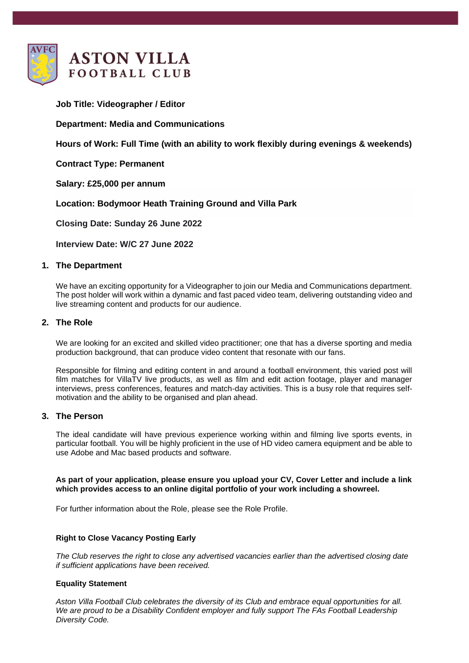

**Job Title: Videographer / Editor**

# **Department: Media and Communications**

**Hours of Work: Full Time (with an ability to work flexibly during evenings & weekends)**

**Contract Type: Permanent**

**Salary: £25,000 per annum**

**Location: Bodymoor Heath Training Ground and Villa Park**

**Closing Date: Sunday 26 June 2022**

**Interview Date: W/C 27 June 2022**

## **1. The Department**

We have an exciting opportunity for a Videographer to join our Media and Communications department. The post holder will work within a dynamic and fast paced video team, delivering outstanding video and live streaming content and products for our audience.

## **2. The Role**

We are looking for an excited and skilled video practitioner; one that has a diverse sporting and media production background, that can produce video content that resonate with our fans.

Responsible for filming and editing content in and around a football environment, this varied post will film matches for VillaTV live products, as well as film and edit action footage, player and manager interviews, press conferences, features and match-day activities. This is a busy role that requires selfmotivation and the ability to be organised and plan ahead.

#### **3. The Person**

The ideal candidate will have previous experience working within and filming live sports events, in particular football. You will be highly proficient in the use of HD video camera equipment and be able to use Adobe and Mac based products and software.

## **As part of your application, please ensure you upload your CV, Cover Letter and include a link which provides access to an online digital portfolio of your work including a showreel.**

For further information about the Role, please see the Role Profile.

## **Right to Close Vacancy Posting Early**

*The Club reserves the right to close any advertised vacancies earlier than the advertised closing date if sufficient applications have been received.*

#### **Equality Statement**

*Aston Villa Football Club celebrates the diversity of its Club and embrace equal opportunities for all. We are proud to be a Disability Confident employer and fully support The FAs Football Leadership Diversity Code.*